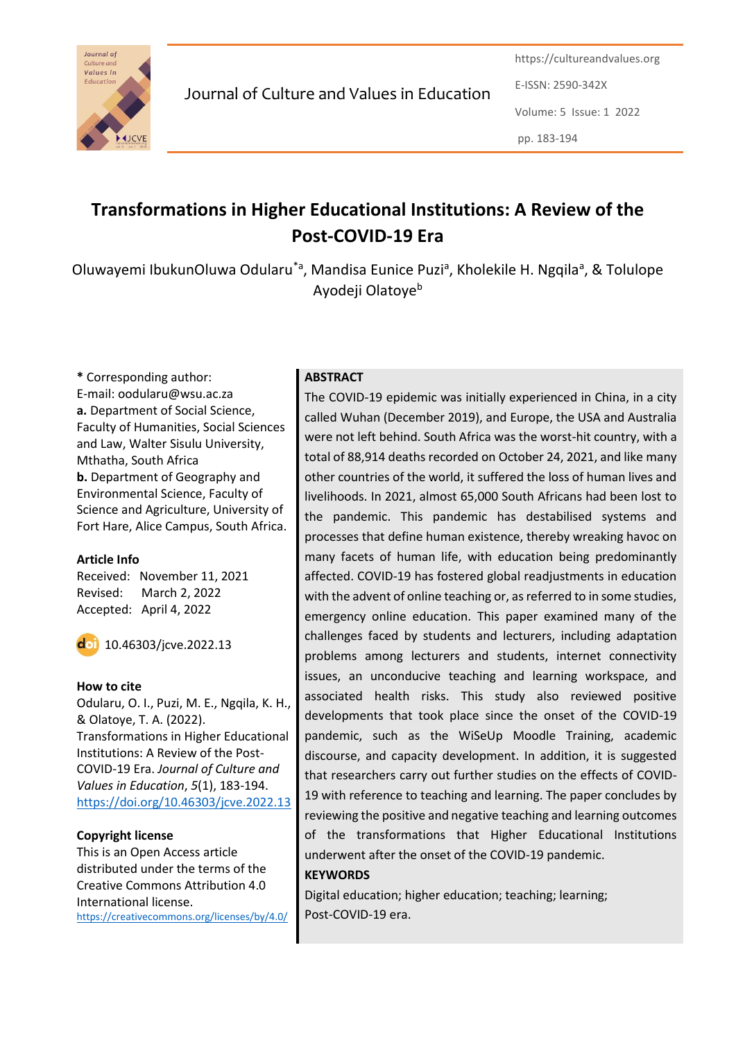

Journal of Culture and Values in Education

https://cultureandvalues.org E-ISSN: 2590-342X Volume: 5 Issue: 1 2022 pp. 183-194

# **Transformations in Higher Educational Institutions: A Review of the Post-COVID-19 Era**

Oluwayemi IbukunOluwa Odularu<sup>\*a</sup>, Mandisa Eunice Puzi<sup>a</sup>, Kholekile H. Ngqila<sup>a</sup>, & Tolulope Ayodeji Olatoye<sup>b</sup>

**\*** Corresponding author: E-mail: oodularu@wsu.ac.za **a.** Department of Social Science, Faculty of Humanities, Social Sciences and Law, Walter Sisulu University, Mthatha, South Africa **b.** Department of Geography and Environmental Science, Faculty of Science and Agriculture, University of Fort Hare, Alice Campus, South Africa.

#### **Article Info**

Received: November 11, 2021 Revised: March 2, 2022 Accepted: April 4, 2022



 $\overline{d}$  10.46303/jcve.2022.13

### **How to cite**

Odularu, O. I., Puzi, M. E., Ngqila, K. H., & Olatoye, T. A. (2022). Transformations in Higher Educational Institutions: A Review of the Post-COVID-19 Era. *Journal of Culture and Values in Education*, *5*(1), 183-194. <https://doi.org/10.46303/jcve.2022.13>

### **Copyright license**

This is an Open Access article distributed under the terms of the Creative Commons Attribution 4.0 International license. <https://creativecommons.org/licenses/by/4.0/>

## **ABSTRACT**

The COVID-19 epidemic was initially experienced in China, in a city called Wuhan (December 2019), and Europe, the USA and Australia were not left behind. South Africa was the worst-hit country, with a total of 88,914 deaths recorded on October 24, 2021, and like many other countries of the world, it suffered the loss of human lives and livelihoods. In 2021, almost 65,000 South Africans had been lost to the pandemic. This pandemic has destabilised systems and processes that define human existence, thereby wreaking havoc on many facets of human life, with education being predominantly affected. COVID-19 has fostered global readjustments in education with the advent of online teaching or, as referred to in some studies, emergency online education. This paper examined many of the challenges faced by students and lecturers, including adaptation problems among lecturers and students, internet connectivity issues, an unconducive teaching and learning workspace, and associated health risks. This study also reviewed positive developments that took place since the onset of the COVID-19 pandemic, such as the WiSeUp Moodle Training, academic discourse, and capacity development. In addition, it is suggested that researchers carry out further studies on the effects of COVID-19 with reference to teaching and learning. The paper concludes by reviewing the positive and negative teaching and learning outcomes of the transformations that Higher Educational Institutions underwent after the onset of the COVID-19 pandemic.

### **KEYWORDS**

Digital education; higher education; teaching; learning; Post-COVID-19 era.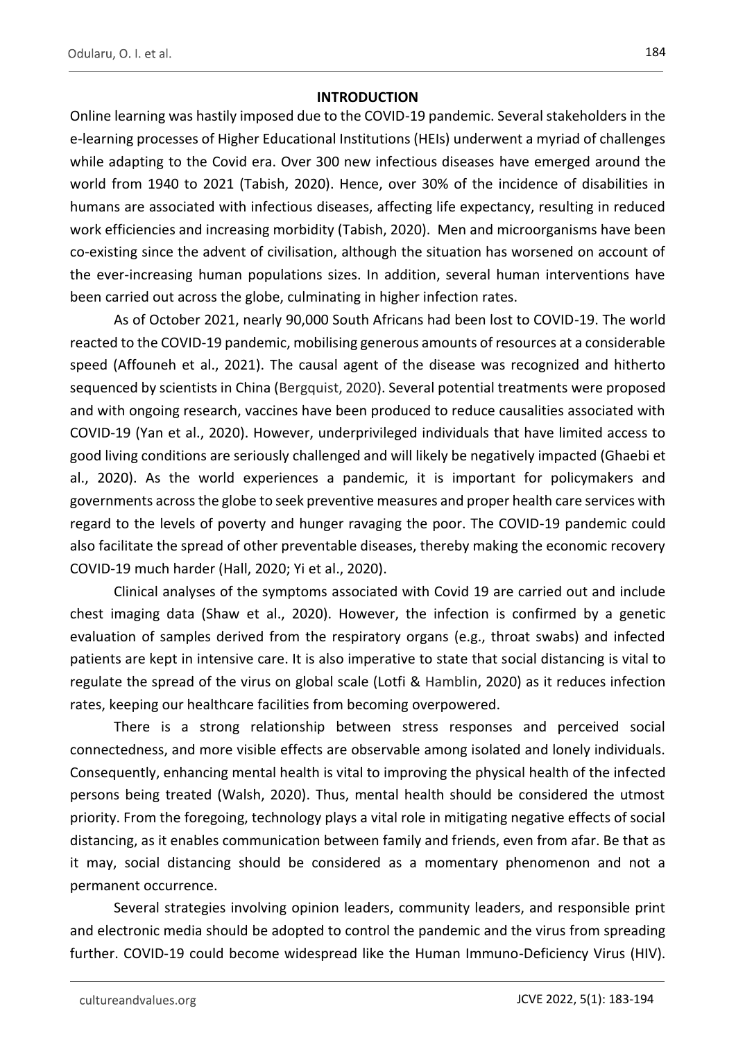### **INTRODUCTION**

Online learning was hastily imposed due to the COVID-19 pandemic. Several stakeholders in the e-learning processes of Higher Educational Institutions (HEIs) underwent a myriad of challenges while adapting to the Covid era. Over 300 new infectious diseases have emerged around the world from 1940 to 2021 (Tabish, 2020). Hence, over 30% of the incidence of disabilities in humans are associated with infectious diseases, affecting life expectancy, resulting in reduced work efficiencies and increasing morbidity (Tabish, 2020). Men and microorganisms have been co-existing since the advent of civilisation, although the situation has worsened on account of the ever-increasing human populations sizes. In addition, several human interventions have been carried out across the globe, culminating in higher infection rates.

As of October 2021, nearly 90,000 South Africans had been lost to COVID-19. The world reacted to the COVID-19 pandemic, mobilising generous amounts of resources at a considerable speed (Affouneh et al., 2021). The causal agent of the disease was recognized and hitherto sequenced by scientists in China (Bergquist, 2020). Several potential treatments were proposed and with ongoing research, vaccines have been produced to reduce causalities associated with COVID-19 (Yan et al., 2020). However, underprivileged individuals that have limited access to good living conditions are seriously challenged and will likely be negatively impacted (Ghaebi et al., 2020). As the world experiences a pandemic, it is important for policymakers and governments across the globe to seek preventive measures and proper health care services with regard to the levels of poverty and hunger ravaging the poor. The COVID-19 pandemic could also facilitate the spread of other preventable diseases, thereby making the economic recovery COVID-19 much harder (Hall, 2020; Yi et al., 2020).

Clinical analyses of the symptoms associated with Covid 19 are carried out and include chest imaging data (Shaw et al., 2020). However, the infection is confirmed by a genetic evaluation of samples derived from the respiratory organs (e.g., throat swabs) and infected patients are kept in intensive care. It is also imperative to state that social distancing is vital to regulate the spread of the virus on global scale (Lotfi & Hamblin, 2020) as it reduces infection rates, keeping our healthcare facilities from becoming overpowered.

There is a strong relationship between stress responses and perceived social connectedness, and more visible effects are observable among isolated and lonely individuals. Consequently, enhancing mental health is vital to improving the physical health of the infected persons being treated (Walsh, 2020). Thus, mental health should be considered the utmost priority. From the foregoing, technology plays a vital role in mitigating negative effects of social distancing, as it enables communication between family and friends, even from afar. Be that as it may, social distancing should be considered as a momentary phenomenon and not a permanent occurrence.

Several strategies involving opinion leaders, community leaders, and responsible print and electronic media should be adopted to control the pandemic and the virus from spreading further. COVID-19 could become widespread like the Human Immuno-Deficiency Virus (HIV).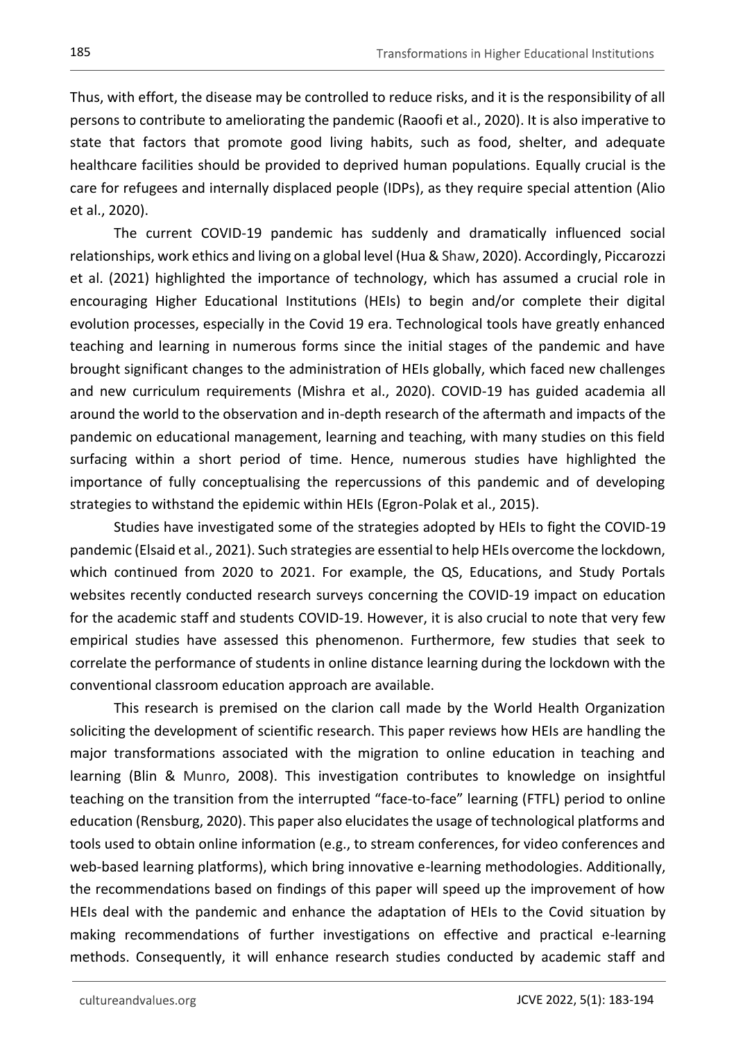Thus, with effort, the disease may be controlled to reduce risks, and it is the responsibility of all persons to contribute to ameliorating the pandemic (Raoofi et al., 2020). It is also imperative to state that factors that promote good living habits, such as food, shelter, and adequate healthcare facilities should be provided to deprived human populations. Equally crucial is the care for refugees and internally displaced people (IDPs), as they require special attention (Alio et al., 2020).

The current COVID-19 pandemic has suddenly and dramatically influenced social relationships, work ethics and living on a global level (Hua & Shaw, 2020). Accordingly, Piccarozzi et al. (2021) highlighted the importance of technology, which has assumed a crucial role in encouraging Higher Educational Institutions (HEIs) to begin and/or complete their digital evolution processes, especially in the Covid 19 era. Technological tools have greatly enhanced teaching and learning in numerous forms since the initial stages of the pandemic and have brought significant changes to the administration of HEIs globally, which faced new challenges and new curriculum requirements (Mishra et al., 2020). COVID-19 has guided academia all around the world to the observation and in-depth research of the aftermath and impacts of the pandemic on educational management, learning and teaching, with many studies on this field surfacing within a short period of time. Hence, numerous studies have highlighted the importance of fully conceptualising the repercussions of this pandemic and of developing strategies to withstand the epidemic within HEIs (Egron-Polak et al., 2015).

Studies have investigated some of the strategies adopted by HEIs to fight the COVID-19 pandemic (Elsaid et al., 2021). Such strategies are essential to help HEIs overcome the lockdown, which continued from 2020 to 2021. For example, the QS, Educations, and Study Portals websites recently conducted research surveys concerning the COVID-19 impact on education for the academic staff and students COVID-19. However, it is also crucial to note that very few empirical studies have assessed this phenomenon. Furthermore, few studies that seek to correlate the performance of students in online distance learning during the lockdown with the conventional classroom education approach are available.

This research is premised on the clarion call made by the World Health Organization soliciting the development of scientific research. This paper reviews how HEIs are handling the major transformations associated with the migration to online education in teaching and learning (Blin & Munro, 2008). This investigation contributes to knowledge on insightful teaching on the transition from the interrupted "face-to-face" learning (FTFL) period to online education (Rensburg, 2020). This paper also elucidates the usage of technological platforms and tools used to obtain online information (e.g., to stream conferences, for video conferences and web-based learning platforms), which bring innovative e-learning methodologies. Additionally, the recommendations based on findings of this paper will speed up the improvement of how HEIs deal with the pandemic and enhance the adaptation of HEIs to the Covid situation by making recommendations of further investigations on effective and practical e-learning methods. Consequently, it will enhance research studies conducted by academic staff and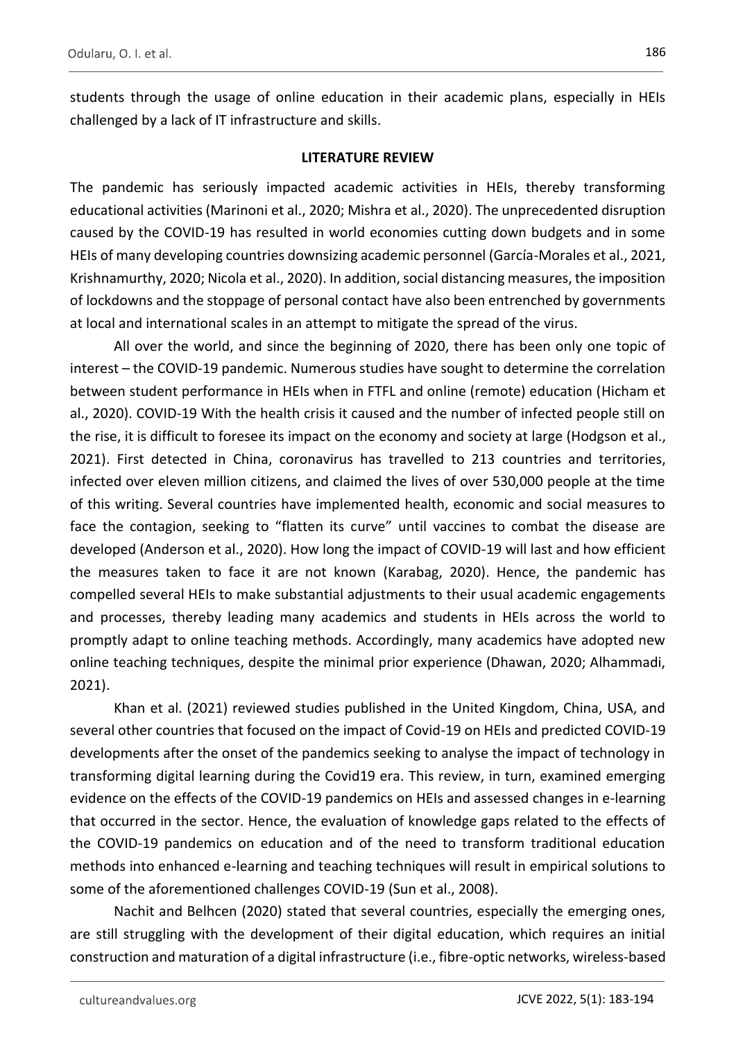students through the usage of online education in their academic plans, especially in HEIs challenged by a lack of IT infrastructure and skills.

#### **LITERATURE REVIEW**

The pandemic has seriously impacted academic activities in HEIs, thereby transforming educational activities (Marinoni et al., 2020; Mishra et al., 2020). The unprecedented disruption caused by the COVID-19 has resulted in world economies cutting down budgets and in some HEIs of many developing countries downsizing academic personnel (García-Morales et al., 2021, Krishnamurthy, 2020; Nicola et al., 2020). In addition, social distancing measures, the imposition of lockdowns and the stoppage of personal contact have also been entrenched by governments at local and international scales in an attempt to mitigate the spread of the virus.

All over the world, and since the beginning of 2020, there has been only one topic of interest – the COVID-19 pandemic. Numerous studies have sought to determine the correlation between student performance in HEIs when in FTFL and online (remote) education (Hicham et al., 2020). COVID-19 With the health crisis it caused and the number of infected people still on the rise, it is difficult to foresee its impact on the economy and society at large (Hodgson et al., 2021). First detected in China, coronavirus has travelled to 213 countries and territories, infected over eleven million citizens, and claimed the lives of over 530,000 people at the time of this writing. Several countries have implemented health, economic and social measures to face the contagion, seeking to "flatten its curve" until vaccines to combat the disease are developed (Anderson et al., 2020). How long the impact of COVID-19 will last and how efficient the measures taken to face it are not known (Karabag, 2020). Hence, the pandemic has compelled several HEIs to make substantial adjustments to their usual academic engagements and processes, thereby leading many academics and students in HEIs across the world to promptly adapt to online teaching methods. Accordingly, many academics have adopted new online teaching techniques, despite the minimal prior experience (Dhawan, 2020; Alhammadi, 2021).

Khan et al. (2021) reviewed studies published in the United Kingdom, China, USA, and several other countries that focused on the impact of Covid-19 on HEIs and predicted COVID-19 developments after the onset of the pandemics seeking to analyse the impact of technology in transforming digital learning during the Covid19 era. This review, in turn, examined emerging evidence on the effects of the COVID-19 pandemics on HEIs and assessed changes in e-learning that occurred in the sector. Hence, the evaluation of knowledge gaps related to the effects of the COVID-19 pandemics on education and of the need to transform traditional education methods into enhanced e-learning and teaching techniques will result in empirical solutions to some of the aforementioned challenges COVID-19 (Sun et al., 2008).

Nachit and Belhcen (2020) stated that several countries, especially the emerging ones, are still struggling with the development of their digital education, which requires an initial construction and maturation of a digital infrastructure (i.e., fibre-optic networks, wireless-based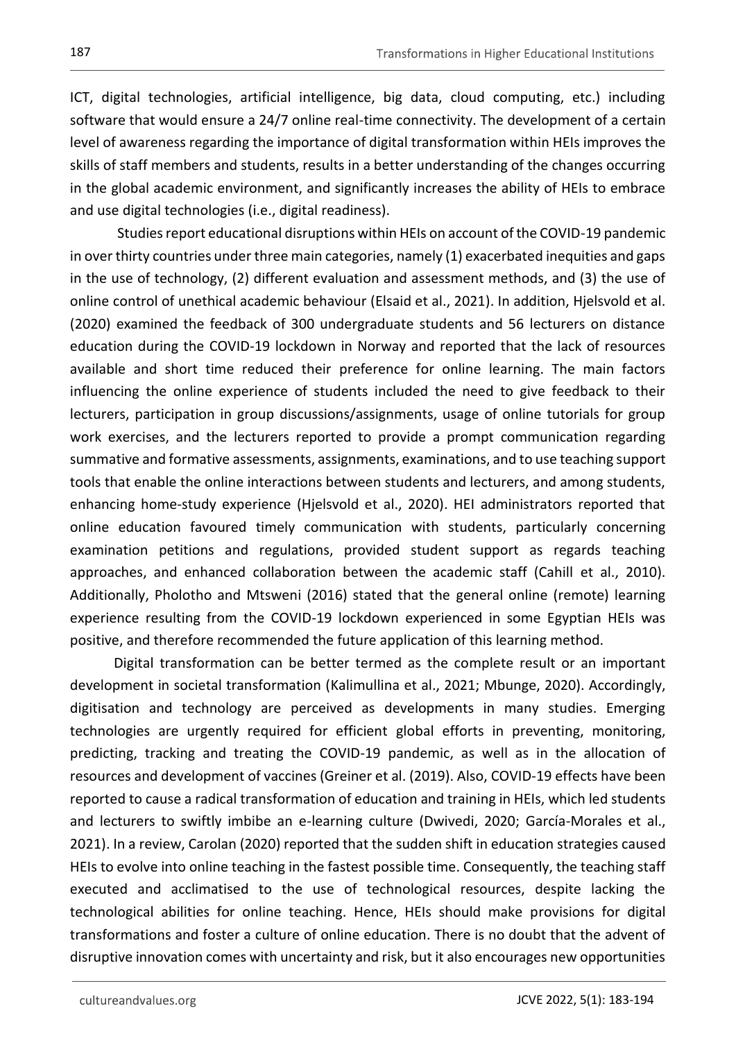ICT, digital technologies, artificial intelligence, big data, cloud computing, etc.) including software that would ensure a 24/7 online real-time connectivity. The development of a certain level of awareness regarding the importance of digital transformation within HEIs improves the skills of staff members and students, results in a better understanding of the changes occurring in the global academic environment, and significantly increases the ability of HEIs to embrace and use digital technologies (i.e., digital readiness).

Studies report educational disruptions within HEIs on account of the COVID-19 pandemic in over thirty countries under three main categories, namely (1) exacerbated inequities and gaps in the use of technology, (2) different evaluation and assessment methods, and (3) the use of online control of unethical academic behaviour (Elsaid et al., 2021). In addition, Hjelsvold et al. (2020) examined the feedback of 300 undergraduate students and 56 lecturers on distance education during the COVID-19 lockdown in Norway and reported that the lack of resources available and short time reduced their preference for online learning. The main factors influencing the online experience of students included the need to give feedback to their lecturers, participation in group discussions/assignments, usage of online tutorials for group work exercises, and the lecturers reported to provide a prompt communication regarding summative and formative assessments, assignments, examinations, and to use teaching support tools that enable the online interactions between students and lecturers, and among students, enhancing home-study experience (Hjelsvold et al., 2020). HEI administrators reported that online education favoured timely communication with students, particularly concerning examination petitions and regulations, provided student support as regards teaching approaches, and enhanced collaboration between the academic staff (Cahill et al., 2010). Additionally, Pholotho and Mtsweni (2016) stated that the general online (remote) learning experience resulting from the COVID-19 lockdown experienced in some Egyptian HEIs was positive, and therefore recommended the future application of this learning method.

Digital transformation can be better termed as the complete result or an important development in societal transformation (Kalimullina et al., 2021; Mbunge, 2020). Accordingly, digitisation and technology are perceived as developments in many studies. Emerging technologies are urgently required for efficient global efforts in preventing, monitoring, predicting, tracking and treating the COVID-19 pandemic, as well as in the allocation of resources and development of vaccines (Greiner et al. (2019). Also, COVID-19 effects have been reported to cause a radical transformation of education and training in HEIs, which led students and lecturers to swiftly imbibe an e-learning culture (Dwivedi, 2020; García-Morales et al., 2021). In a review, Carolan (2020) reported that the sudden shift in education strategies caused HEIs to evolve into online teaching in the fastest possible time. Consequently, the teaching staff executed and acclimatised to the use of technological resources, despite lacking the technological abilities for online teaching. Hence, HEIs should make provisions for digital transformations and foster a culture of online education. There is no doubt that the advent of disruptive innovation comes with uncertainty and risk, but it also encourages new opportunities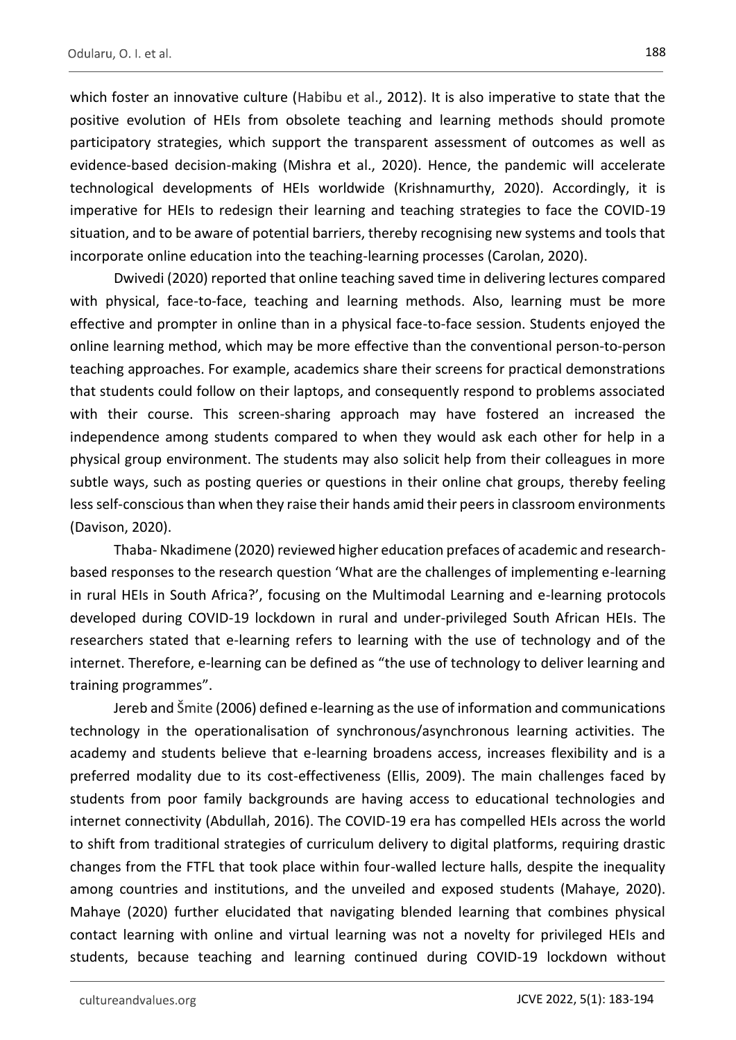which foster an innovative culture (Habibu et al., 2012). It is also imperative to state that the positive evolution of HEIs from obsolete teaching and learning methods should promote participatory strategies, which support the transparent assessment of outcomes as well as evidence-based decision-making (Mishra et al., 2020). Hence, the pandemic will accelerate technological developments of HEIs worldwide (Krishnamurthy, 2020). Accordingly, it is imperative for HEIs to redesign their learning and teaching strategies to face the COVID-19 situation, and to be aware of potential barriers, thereby recognising new systems and tools that incorporate online education into the teaching-learning processes (Carolan, 2020).

Dwivedi (2020) reported that online teaching saved time in delivering lectures compared with physical, face-to-face, teaching and learning methods. Also, learning must be more effective and prompter in online than in a physical face-to-face session. Students enjoyed the online learning method, which may be more effective than the conventional person-to-person teaching approaches. For example, academics share their screens for practical demonstrations that students could follow on their laptops, and consequently respond to problems associated with their course. This screen-sharing approach may have fostered an increased the independence among students compared to when they would ask each other for help in a physical group environment. The students may also solicit help from their colleagues in more subtle ways, such as posting queries or questions in their online chat groups, thereby feeling less self-conscious than when they raise their hands amid their peers in classroom environments (Davison, 2020).

Thaba- Nkadimene (2020) reviewed higher education prefaces of academic and researchbased responses to the research question 'What are the challenges of implementing e-learning in rural HEIs in South Africa?', focusing on the Multimodal Learning and e-learning protocols developed during COVID-19 lockdown in rural and under-privileged South African HEIs. The researchers stated that e-learning refers to learning with the use of technology and of the internet. Therefore, e-learning can be defined as "the use of technology to deliver learning and training programmes".

Jereb and Šmite (2006) defined e-learning as the use of information and communications technology in the operationalisation of synchronous/asynchronous learning activities. The academy and students believe that e-learning broadens access, increases flexibility and is a preferred modality due to its cost-effectiveness (Ellis, 2009). The main challenges faced by students from poor family backgrounds are having access to educational technologies and internet connectivity (Abdullah, 2016). The COVID-19 era has compelled HEIs across the world to shift from traditional strategies of curriculum delivery to digital platforms, requiring drastic changes from the FTFL that took place within four-walled lecture halls, despite the inequality among countries and institutions, and the unveiled and exposed students (Mahaye, 2020). Mahaye (2020) further elucidated that navigating blended learning that combines physical contact learning with online and virtual learning was not a novelty for privileged HEIs and students, because teaching and learning continued during COVID-19 lockdown without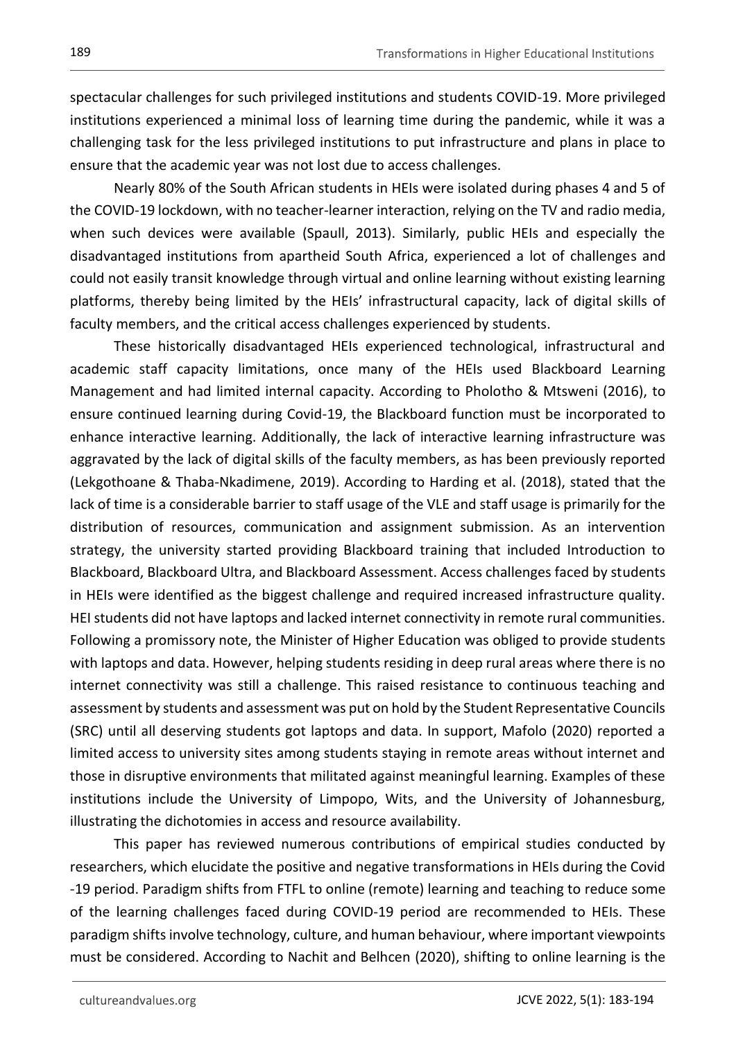spectacular challenges for such privileged institutions and students COVID-19. More privileged institutions experienced a minimal loss of learning time during the pandemic, while it was a challenging task for the less privileged institutions to put infrastructure and plans in place to ensure that the academic year was not lost due to access challenges.

Nearly 80% of the South African students in HEIs were isolated during phases 4 and 5 of the COVID-19 lockdown, with no teacher-learner interaction, relying on the TV and radio media, when such devices were available (Spaull, 2013). Similarly, public HEIs and especially the disadvantaged institutions from apartheid South Africa, experienced a lot of challenges and could not easily transit knowledge through virtual and online learning without existing learning platforms, thereby being limited by the HEIs' infrastructural capacity, lack of digital skills of faculty members, and the critical access challenges experienced by students.

These historically disadvantaged HEIs experienced technological, infrastructural and academic staff capacity limitations, once many of the HEIs used Blackboard Learning Management and had limited internal capacity. According to Pholotho & Mtsweni (2016), to ensure continued learning during Covid-19, the Blackboard function must be incorporated to enhance interactive learning. Additionally, the lack of interactive learning infrastructure was aggravated by the lack of digital skills of the faculty members, as has been previously reported (Lekgothoane & Thaba-Nkadimene, 2019). According to Harding et al. (2018), stated that the lack of time is a considerable barrier to staff usage of the VLE and staff usage is primarily for the distribution of resources, communication and assignment submission. As an intervention strategy, the university started providing Blackboard training that included Introduction to Blackboard, Blackboard Ultra, and Blackboard Assessment. Access challenges faced by students in HEIs were identified as the biggest challenge and required increased infrastructure quality. HEI students did not have laptops and lacked internet connectivity in remote rural communities. Following a promissory note, the Minister of Higher Education was obliged to provide students with laptops and data. However, helping students residing in deep rural areas where there is no internet connectivity was still a challenge. This raised resistance to continuous teaching and assessment by students and assessment was put on hold by the Student Representative Councils (SRC) until all deserving students got laptops and data. In support, Mafolo (2020) reported a limited access to university sites among students staying in remote areas without internet and those in disruptive environments that militated against meaningful learning. Examples of these institutions include the University of Limpopo, Wits, and the University of Johannesburg, illustrating the dichotomies in access and resource availability.

This paper has reviewed numerous contributions of empirical studies conducted by researchers, which elucidate the positive and negative transformations in HEIs during the Covid -19 period. Paradigm shifts from FTFL to online (remote) learning and teaching to reduce some of the learning challenges faced during COVID-19 period are recommended to HEIs. These paradigm shifts involve technology, culture, and human behaviour, where important viewpoints must be considered. According to Nachit and Belhcen (2020), shifting to online learning is the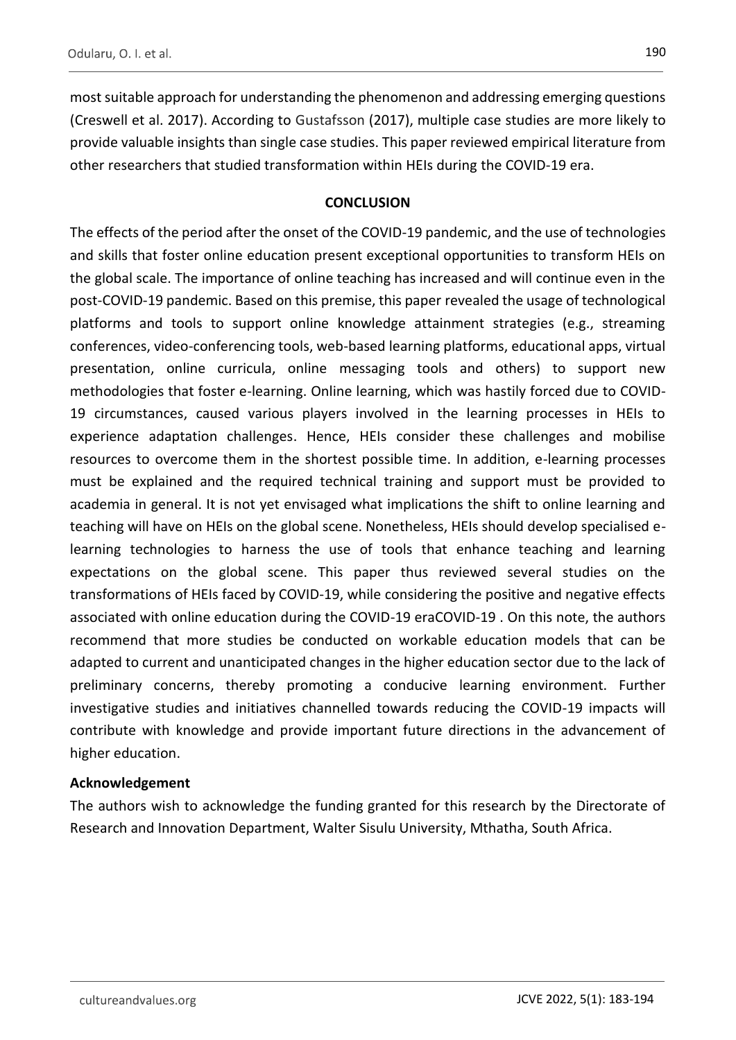most suitable approach for understanding the phenomenon and addressing emerging questions (Creswell et al. 2017). According to Gustafsson (2017), multiple case studies are more likely to provide valuable insights than single case studies. This paper reviewed empirical literature from other researchers that studied transformation within HEIs during the COVID-19 era.

## **CONCLUSION**

The effects of the period after the onset of the COVID-19 pandemic, and the use of technologies and skills that foster online education present exceptional opportunities to transform HEIs on the global scale. The importance of online teaching has increased and will continue even in the post-COVID-19 pandemic. Based on this premise, this paper revealed the usage of technological platforms and tools to support online knowledge attainment strategies (e.g., streaming conferences, video-conferencing tools, web-based learning platforms, educational apps, virtual presentation, online curricula, online messaging tools and others) to support new methodologies that foster e-learning. Online learning, which was hastily forced due to COVID-19 circumstances, caused various players involved in the learning processes in HEIs to experience adaptation challenges. Hence, HEIs consider these challenges and mobilise resources to overcome them in the shortest possible time. In addition, e-learning processes must be explained and the required technical training and support must be provided to academia in general. It is not yet envisaged what implications the shift to online learning and teaching will have on HEIs on the global scene. Nonetheless, HEIs should develop specialised elearning technologies to harness the use of tools that enhance teaching and learning expectations on the global scene. This paper thus reviewed several studies on the transformations of HEIs faced by COVID-19, while considering the positive and negative effects associated with online education during the COVID-19 eraCOVID-19 . On this note, the authors recommend that more studies be conducted on workable education models that can be adapted to current and unanticipated changes in the higher education sector due to the lack of preliminary concerns, thereby promoting a conducive learning environment. Further investigative studies and initiatives channelled towards reducing the COVID-19 impacts will contribute with knowledge and provide important future directions in the advancement of higher education.

## **Acknowledgement**

The authors wish to acknowledge the funding granted for this research by the Directorate of Research and Innovation Department, Walter Sisulu University, Mthatha, South Africa.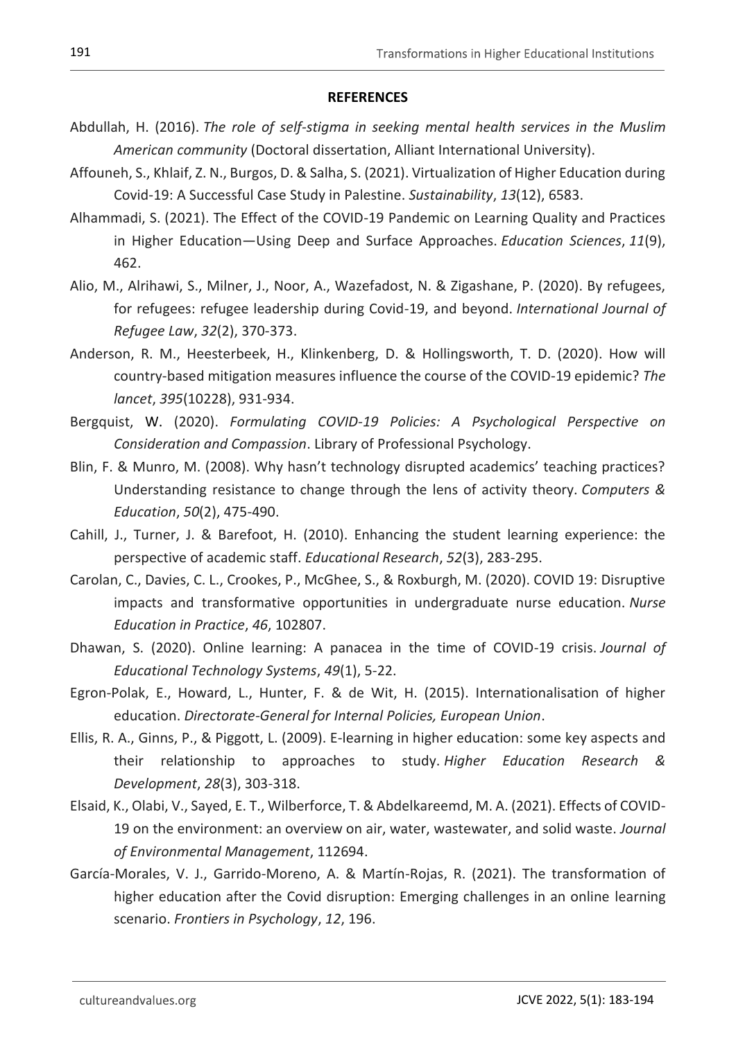#### **REFERENCES**

- Abdullah, H. (2016). *The role of self-stigma in seeking mental health services in the Muslim American community* (Doctoral dissertation, Alliant International University).
- Affouneh, S., Khlaif, Z. N., Burgos, D. & Salha, S. (2021). Virtualization of Higher Education during Covid-19: A Successful Case Study in Palestine. *Sustainability*, *13*(12), 6583.
- Alhammadi, S. (2021). The Effect of the COVID-19 Pandemic on Learning Quality and Practices in Higher Education—Using Deep and Surface Approaches. *Education Sciences*, *11*(9), 462.
- Alio, M., Alrihawi, S., Milner, J., Noor, A., Wazefadost, N. & Zigashane, P. (2020). By refugees, for refugees: refugee leadership during Covid-19, and beyond. *International Journal of Refugee Law*, *32*(2), 370-373.
- Anderson, R. M., Heesterbeek, H., Klinkenberg, D. & Hollingsworth, T. D. (2020). How will country-based mitigation measures influence the course of the COVID-19 epidemic? *The lancet*, *395*(10228), 931-934.
- Bergquist, W. (2020). *Formulating COVID-19 Policies: A Psychological Perspective on Consideration and Compassion*. Library of Professional Psychology.
- Blin, F. & Munro, M. (2008). Why hasn't technology disrupted academics' teaching practices? Understanding resistance to change through the lens of activity theory. *Computers & Education*, *50*(2), 475-490.
- Cahill, J., Turner, J. & Barefoot, H. (2010). Enhancing the student learning experience: the perspective of academic staff. *Educational Research*, *52*(3), 283-295.
- Carolan, C., Davies, C. L., Crookes, P., McGhee, S., & Roxburgh, M. (2020). COVID 19: Disruptive impacts and transformative opportunities in undergraduate nurse education. *Nurse Education in Practice*, *46*, 102807.
- Dhawan, S. (2020). Online learning: A panacea in the time of COVID-19 crisis. *Journal of Educational Technology Systems*, *49*(1), 5-22.
- Egron-Polak, E., Howard, L., Hunter, F. & de Wit, H. (2015). Internationalisation of higher education. *Directorate-General for Internal Policies, European Union*.
- Ellis, R. A., Ginns, P., & Piggott, L. (2009). E‐learning in higher education: some key aspects and their relationship to approaches to study. *Higher Education Research & Development*, *28*(3), 303-318.
- Elsaid, K., Olabi, V., Sayed, E. T., Wilberforce, T. & Abdelkareemd, M. A. (2021). Effects of COVID-19 on the environment: an overview on air, water, wastewater, and solid waste. *Journal of Environmental Management*, 112694.
- García-Morales, V. J., Garrido-Moreno, A. & Martín-Rojas, R. (2021). The transformation of higher education after the Covid disruption: Emerging challenges in an online learning scenario. *Frontiers in Psychology*, *12*, 196.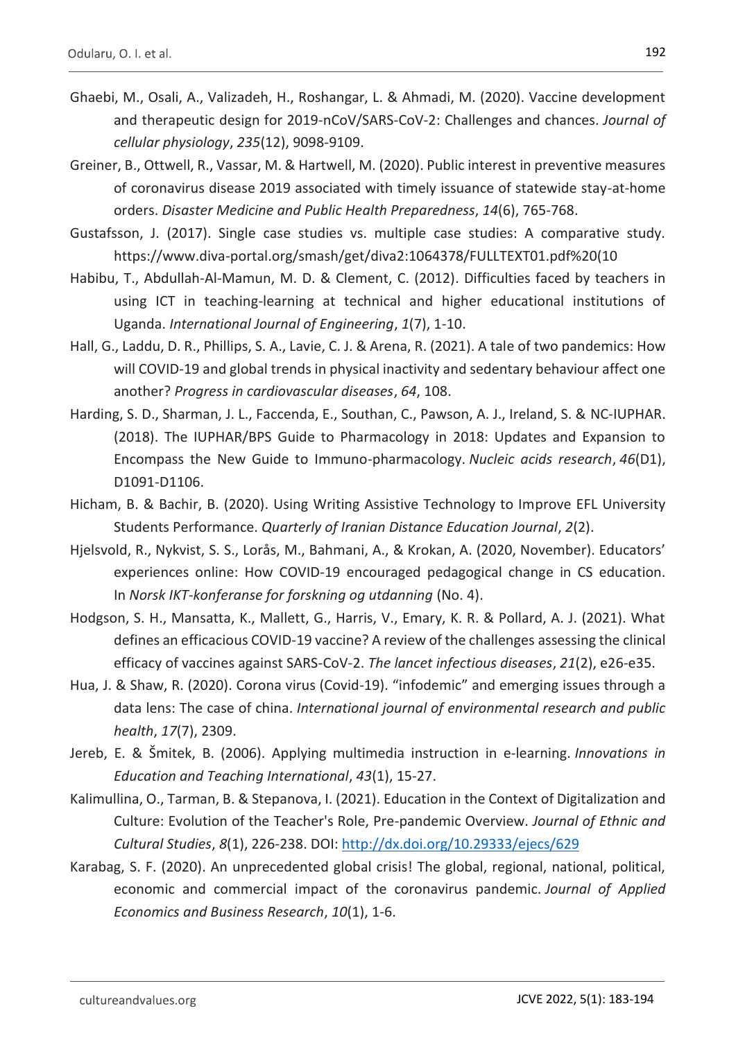- Ghaebi, M., Osali, A., Valizadeh, H., Roshangar, L. & Ahmadi, M. (2020). Vaccine development and therapeutic design for 2019‐nCoV/SARS‐CoV‐2: Challenges and chances. *Journal of cellular physiology*, *235*(12), 9098-9109.
- Greiner, B., Ottwell, R., Vassar, M. & Hartwell, M. (2020). Public interest in preventive measures of coronavirus disease 2019 associated with timely issuance of statewide stay-at-home orders. *Disaster Medicine and Public Health Preparedness*, *14*(6), 765-768.
- Gustafsson, J. (2017). Single case studies vs. multiple case studies: A comparative study. https://www.diva-portal.org/smash/get/diva2:1064378/FULLTEXT01.pdf%20(10
- Habibu, T., Abdullah-Al-Mamun, M. D. & Clement, C. (2012). Difficulties faced by teachers in using ICT in teaching-learning at technical and higher educational institutions of Uganda. *International Journal of Engineering*, *1*(7), 1-10.
- Hall, G., Laddu, D. R., Phillips, S. A., Lavie, C. J. & Arena, R. (2021). A tale of two pandemics: How will COVID-19 and global trends in physical inactivity and sedentary behaviour affect one another? *Progress in cardiovascular diseases*, *64*, 108.
- Harding, S. D., Sharman, J. L., Faccenda, E., Southan, C., Pawson, A. J., Ireland, S. & NC-IUPHAR. (2018). The IUPHAR/BPS Guide to Pharmacology in 2018: Updates and Expansion to Encompass the New Guide to Immuno-pharmacology. *Nucleic acids research*, *46*(D1), D1091-D1106.
- Hicham, B. & Bachir, B. (2020). Using Writing Assistive Technology to Improve EFL University Students Performance. *Quarterly of Iranian Distance Education Journal*, *2*(2).
- Hjelsvold, R., Nykvist, S. S., Lorås, M., Bahmani, A., & Krokan, A. (2020, November). Educators' experiences online: How COVID-19 encouraged pedagogical change in CS education. In *Norsk IKT-konferanse for forskning og utdanning* (No. 4).
- Hodgson, S. H., Mansatta, K., Mallett, G., Harris, V., Emary, K. R. & Pollard, A. J. (2021). What defines an efficacious COVID-19 vaccine? A review of the challenges assessing the clinical efficacy of vaccines against SARS-CoV-2. *The lancet infectious diseases*, *21*(2), e26-e35.
- Hua, J. & Shaw, R. (2020). Corona virus (Covid-19). "infodemic" and emerging issues through a data lens: The case of china. *International journal of environmental research and public health*, *17*(7), 2309.
- Jereb, E. & Šmitek, B. (2006). Applying multimedia instruction in e‐learning. *Innovations in Education and Teaching International*, *43*(1), 15-27.
- Kalimullina, O., Tarman, B. & Stepanova, I. (2021). Education in the Context of Digitalization and Culture: Evolution of the Teacher's Role, Pre-pandemic Overview. *Journal of Ethnic and Cultural Studies*, *8*(1), 226-238. DOI: <http://dx.doi.org/10.29333/ejecs/629>
- Karabag, S. F. (2020). An unprecedented global crisis! The global, regional, national, political, economic and commercial impact of the coronavirus pandemic. *Journal of Applied Economics and Business Research*, *10*(1), 1-6.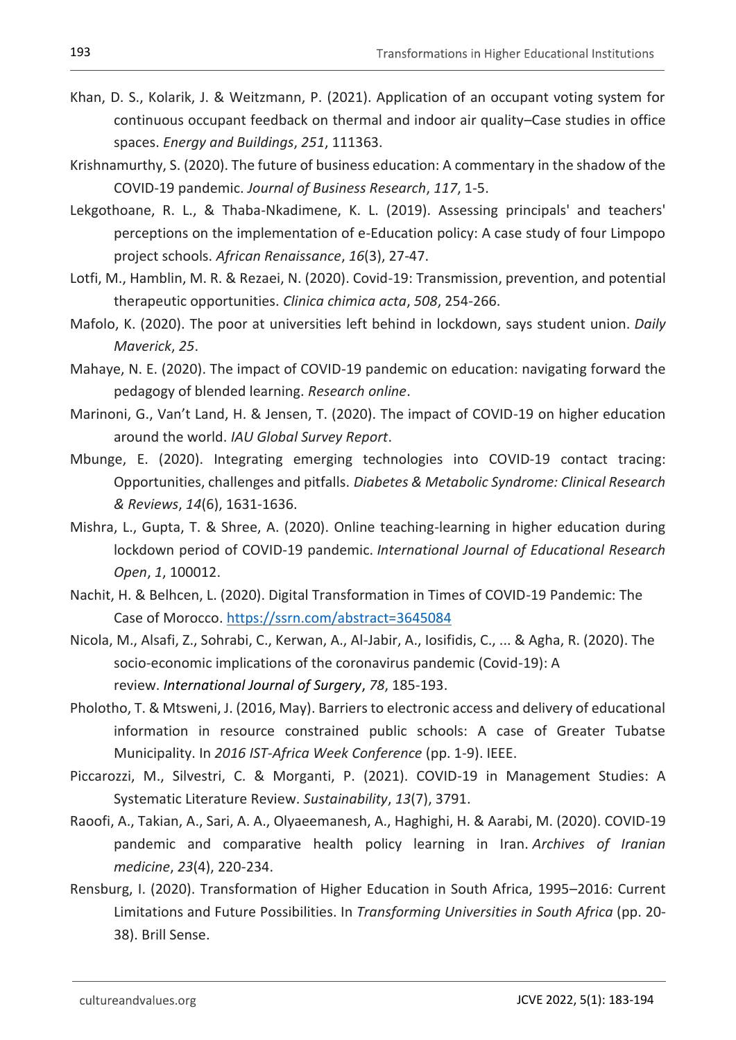- Khan, D. S., Kolarik, J. & Weitzmann, P. (2021). Application of an occupant voting system for continuous occupant feedback on thermal and indoor air quality–Case studies in office spaces. *Energy and Buildings*, *251*, 111363.
- Krishnamurthy, S. (2020). The future of business education: A commentary in the shadow of the COVID-19 pandemic. *Journal of Business Research*, *117*, 1-5.
- Lekgothoane, R. L., & Thaba-Nkadimene, K. L. (2019). Assessing principals' and teachers' perceptions on the implementation of e-Education policy: A case study of four Limpopo project schools. *African Renaissance*, *16*(3), 27-47.
- Lotfi, M., Hamblin, M. R. & Rezaei, N. (2020). Covid-19: Transmission, prevention, and potential therapeutic opportunities. *Clinica chimica acta*, *508*, 254-266.
- Mafolo, K. (2020). The poor at universities left behind in lockdown, says student union. *Daily Maverick*, *25*.
- Mahaye, N. E. (2020). The impact of COVID-19 pandemic on education: navigating forward the pedagogy of blended learning. *Research online*.
- Marinoni, G., Van't Land, H. & Jensen, T. (2020). The impact of COVID-19 on higher education around the world. *IAU Global Survey Report*.
- Mbunge, E. (2020). Integrating emerging technologies into COVID-19 contact tracing: Opportunities, challenges and pitfalls. *Diabetes & Metabolic Syndrome: Clinical Research & Reviews*, *14*(6), 1631-1636.
- Mishra, L., Gupta, T. & Shree, A. (2020). Online teaching-learning in higher education during lockdown period of COVID-19 pandemic. *International Journal of Educational Research Open*, *1*, 100012.
- Nachit, H. & Belhcen, L. (2020). Digital Transformation in Times of COVID-19 Pandemic: The Case of Morocco.<https://ssrn.com/abstract=3645084>
- Nicola, M., Alsafi, Z., Sohrabi, C., Kerwan, A., Al-Jabir, A., Iosifidis, C., ... & Agha, R. (2020). The socio-economic implications of the coronavirus pandemic (Covid-19): A review. *International Journal of Surgery*, *78*, 185-193.
- Pholotho, T. & Mtsweni, J. (2016, May). Barriers to electronic access and delivery of educational information in resource constrained public schools: A case of Greater Tubatse Municipality. In *2016 IST-Africa Week Conference* (pp. 1-9). IEEE.
- Piccarozzi, M., Silvestri, C. & Morganti, P. (2021). COVID-19 in Management Studies: A Systematic Literature Review. *Sustainability*, *13*(7), 3791.
- Raoofi, A., Takian, A., Sari, A. A., Olyaeemanesh, A., Haghighi, H. & Aarabi, M. (2020). COVID-19 pandemic and comparative health policy learning in Iran. *Archives of Iranian medicine*, *23*(4), 220-234.
- Rensburg, I. (2020). Transformation of Higher Education in South Africa, 1995–2016: Current Limitations and Future Possibilities. In *Transforming Universities in South Africa* (pp. 20- 38). Brill Sense.